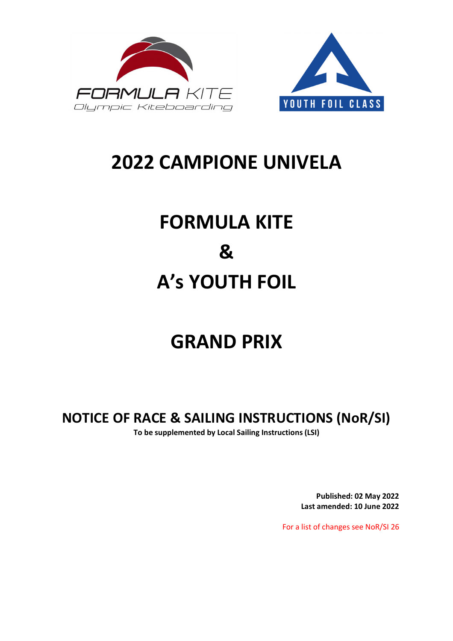



## **2022 CAMPIONE UNIVELA**

# **FORMULA KITE & A's YOUTH FOIL**

## **GRAND PRIX**

**NOTICE OF RACE & SAILING INSTRUCTIONS (NoR/SI) To be supplemented by Local Sailing Instructions (LSI)** 

> **Published: 02 May 2022 Last amended: 10 June 2022**

For a list of changes see NoR/SI 26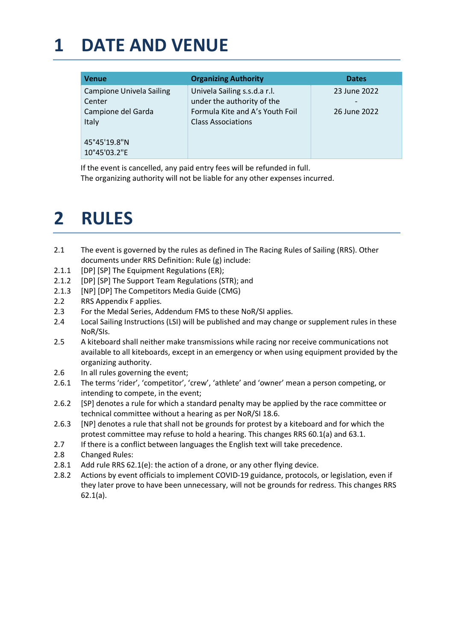### **1 DATE AND VENUE**

| <b>Organizing Authority</b>                                                                                                | <b>Dates</b>                                             |
|----------------------------------------------------------------------------------------------------------------------------|----------------------------------------------------------|
| Univela Sailing s.s.d.a r.l.<br>under the authority of the<br>Formula Kite and A's Youth Foil<br><b>Class Associations</b> | 23 June 2022<br>$\overline{\phantom{a}}$<br>26 June 2022 |
|                                                                                                                            |                                                          |

If the event is cancelled, any paid entry fees will be refunded in full. The organizing authority will not be liable for any other expenses incurred.

### **2 RULES**

- 2.1 The event is governed by the rules as defined in The Racing Rules of Sailing (RRS). Other documents under RRS Definition: Rule (g) include:
- 2.1.1 [DP] [SP] The Equipment Regulations (ER);
- 2.1.2 [DP] [SP] The Support Team Regulations (STR); and
- 2.1.3 [NP] [DP] The Competitors Media Guide (CMG)
- 2.2 RRS Appendix F applies.
- 2.3 For the Medal Series, Addendum FMS to these NoR/SI applies.
- 2.4 Local Sailing Instructions (LSI) will be published and may change or supplement rules in these NoR/SIs.
- 2.5 A kiteboard shall neither make transmissions while racing nor receive communications not available to all kiteboards, except in an emergency or when using equipment provided by the organizing authority.
- 2.6 In all rules governing the event;
- 2.6.1 The terms 'rider', 'competitor', 'crew', 'athlete' and 'owner' mean a person competing, or intending to compete, in the event;
- 2.6.2 [SP] denotes a rule for which a standard penalty may be applied by the race committee or technical committee without a hearing as per NoR/SI 18.6.
- 2.6.3 [NP] denotes a rule that shall not be grounds for protest by a kiteboard and for which the protest committee may refuse to hold a hearing. This changes RRS 60.1(a) and 63.1.
- 2.7 If there is a conflict between languages the English text will take precedence.
- 2.8 Changed Rules:
- 2.8.1 Add rule RRS 62.1(e): the action of a drone, or any other flying device.
- 2.8.2 Actions by event officials to implement COVID-19 guidance, protocols, or legislation, even if they later prove to have been unnecessary, will not be grounds for redress. This changes RRS 62.1(a).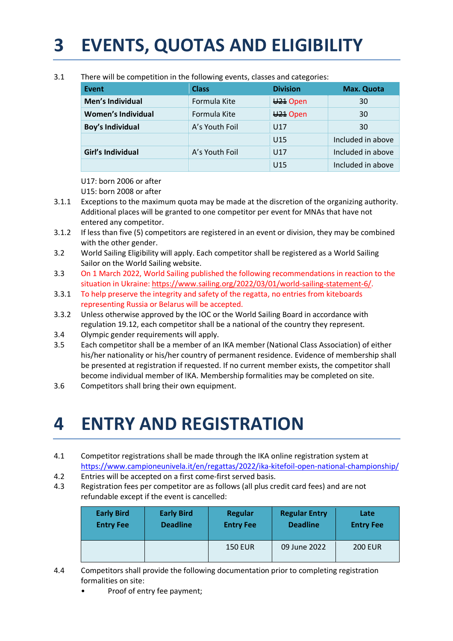## **3 EVENTS, QUOTAS AND ELIGIBILITY**

| <b>Event</b>              | <b>Class</b>   | <b>Division</b>      | <b>Max. Quota</b> |
|---------------------------|----------------|----------------------|-------------------|
| Men's Individual          | Formula Kite   | ₩ <sup>21</sup> Open | 30                |
| <b>Women's Individual</b> | Formula Kite   | ₩ <sup>21</sup> Open | 30                |
| <b>Boy's Individual</b>   | A's Youth Foil | U17                  | 30                |
|                           |                | U <sub>15</sub>      | Included in above |
| Girl's Individual         | A's Youth Foil | U17                  | Included in above |
|                           |                | U <sub>15</sub>      | Included in above |

3.1 There will be competition in the following events, classes and categories:

U17: born 2006 or after

U15: born 2008 or after

- 3.1.1 Exceptions to the maximum quota may be made at the discretion of the organizing authority. Additional places will be granted to one competitor per event for MNAs that have not entered any competitor.
- 3.1.2 If less than five (5) competitors are registered in an event or division, they may be combined with the other gender.
- 3.2 World Sailing Eligibility will apply. Each competitor shall be registered as a World Sailing Sailor on the World Sailing website.
- 3.3 On 1 March 2022, World Sailing published the following recommendations in reaction to the situation in Ukraine: https://www.sailing.org/2022/03/01/world-sailing-statement-6/.
- 3.3.1 To help preserve the integrity and safety of the regatta, no entries from kiteboards representing Russia or Belarus will be accepted.
- 3.3.2 Unless otherwise approved by the IOC or the World Sailing Board in accordance with regulation 19.12, each competitor shall be a national of the country they represent.
- 3.4 Olympic gender requirements will apply.
- 3.5 Each competitor shall be a member of an IKA member (National Class Association) of either his/her nationality or his/her country of permanent residence. Evidence of membership shall be presented at registration if requested. If no current member exists, the competitor shall become individual member of IKA. Membership formalities may be completed on site.
- 3.6 Competitors shall bring their own equipment.

### **4 ENTRY AND REGISTRATION**

- 4.1 Competitor registrations shall be made through the IKA online registration system at https://www.campioneunivela.it/en/regattas/2022/ika-kitefoil-open-national-championship/
- 4.2 Entries will be accepted on a first come-first served basis.
- 4.3 Registration fees per competitor are as follows (all plus credit card fees) and are not refundable except if the event is cancelled:

| <b>Early Bird</b> | <b>Early Bird</b> | Regular          | <b>Regular Entry</b> | Late             |
|-------------------|-------------------|------------------|----------------------|------------------|
| <b>Entry Fee</b>  | <b>Deadline</b>   | <b>Entry Fee</b> | <b>Deadline</b>      | <b>Entry Fee</b> |
|                   |                   | <b>150 EUR</b>   | 09 June 2022         | <b>200 EUR</b>   |

- 4.4 Competitors shall provide the following documentation prior to completing registration formalities on site:
	- Proof of entry fee payment;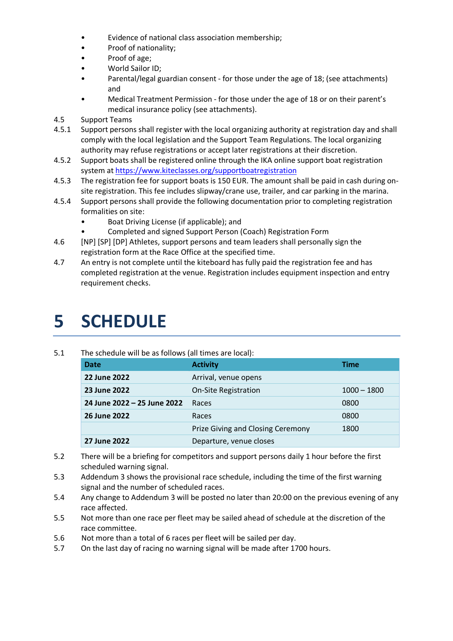- Evidence of national class association membership;
- Proof of nationality;
- Proof of age;
- World Sailor ID;
- Parental/legal guardian consent for those under the age of 18; (see attachments) and
- Medical Treatment Permission for those under the age of 18 or on their parent's medical insurance policy (see attachments).
- 4.5 Support Teams
- 4.5.1 Support persons shall register with the local organizing authority at registration day and shall comply with the local legislation and the Support Team Regulations. The local organizing authority may refuse registrations or accept later registrations at their discretion.
- 4.5.2 Support boats shall be registered online through the IKA online support boat registration system at https://www.kiteclasses.org/supportboatregistration
- 4.5.3 The registration fee for support boats is 150 EUR. The amount shall be paid in cash during onsite registration. This fee includes slipway/crane use, trailer, and car parking in the marina.
- 4.5.4 Support persons shall provide the following documentation prior to completing registration formalities on site:
	- Boat Driving License (if applicable); and
	- Completed and signed Support Person (Coach) Registration Form
- 4.6 [NP] [SP] [DP] Athletes, support persons and team leaders shall personally sign the registration form at the Race Office at the specified time.
- 4.7 An entry is not complete until the kiteboard has fully paid the registration fee and has completed registration at the venue. Registration includes equipment inspection and entry requirement checks.

### **5 SCHEDULE**

#### 5.1 The schedule will be as follows (all times are local):

| <b>Date</b>                 | <b>Activity</b>                   | Time          |
|-----------------------------|-----------------------------------|---------------|
| 22 June 2022                | Arrival, venue opens              |               |
| 23 June 2022                | <b>On-Site Registration</b>       | $1000 - 1800$ |
| 24 June 2022 - 25 June 2022 | Races                             | 0800          |
| 26 June 2022                | Races                             | 0800          |
|                             | Prize Giving and Closing Ceremony | 1800          |
| 27 June 2022                | Departure, venue closes           |               |

- 5.2 There will be a briefing for competitors and support persons daily 1 hour before the first scheduled warning signal.
- 5.3 Addendum 3 shows the provisional race schedule, including the time of the first warning signal and the number of scheduled races.
- 5.4 Any change to Addendum 3 will be posted no later than 20:00 on the previous evening of any race affected.
- 5.5 Not more than one race per fleet may be sailed ahead of schedule at the discretion of the race committee.
- 5.6 Not more than a total of 6 races per fleet will be sailed per day.
- 5.7 On the last day of racing no warning signal will be made after 1700 hours.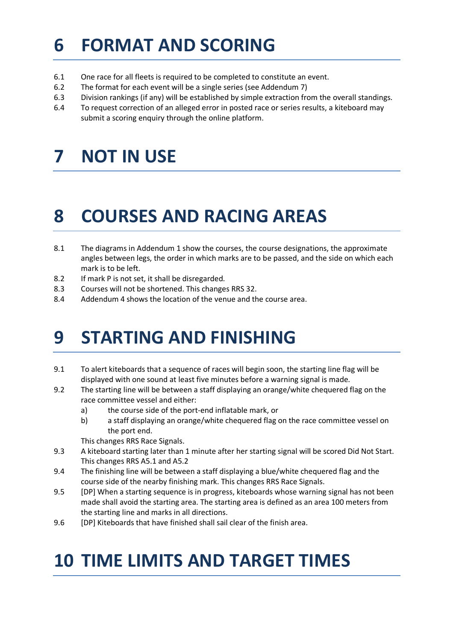### **6 FORMAT AND SCORING**

- 6.1 One race for all fleets is required to be completed to constitute an event.
- 6.2 The format for each event will be a single series (see Addendum 7)
- 6.3 Division rankings (if any) will be established by simple extraction from the overall standings.
- 6.4 To request correction of an alleged error in posted race or series results, a kiteboard may submit a scoring enquiry through the online platform.

### **7 NOT IN USE**

### **8 COURSES AND RACING AREAS**

- 8.1 The diagrams in Addendum 1 show the courses, the course designations, the approximate angles between legs, the order in which marks are to be passed, and the side on which each mark is to be left.
- 8.2 If mark P is not set, it shall be disregarded.
- 8.3 Courses will not be shortened. This changes RRS 32.
- 8.4 Addendum 4 shows the location of the venue and the course area.

### **9 STARTING AND FINISHING**

- 9.1 To alert kiteboards that a sequence of races will begin soon, the starting line flag will be displayed with one sound at least five minutes before a warning signal is made.
- 9.2 The starting line will be between a staff displaying an orange/white chequered flag on the race committee vessel and either:
	- a) the course side of the port-end inflatable mark, or
	- b) a staff displaying an orange/white chequered flag on the race committee vessel on the port end.

This changes RRS Race Signals.

- 9.3 A kiteboard starting later than 1 minute after her starting signal will be scored Did Not Start. This changes RRS A5.1 and A5.2
- 9.4 The finishing line will be between a staff displaying a blue/white chequered flag and the course side of the nearby finishing mark. This changes RRS Race Signals.
- 9.5 [DP] When a starting sequence is in progress, kiteboards whose warning signal has not been made shall avoid the starting area. The starting area is defined as an area 100 meters from the starting line and marks in all directions.
- 9.6 [DP] Kiteboards that have finished shall sail clear of the finish area.

### **10 TIME LIMITS AND TARGET TIMES**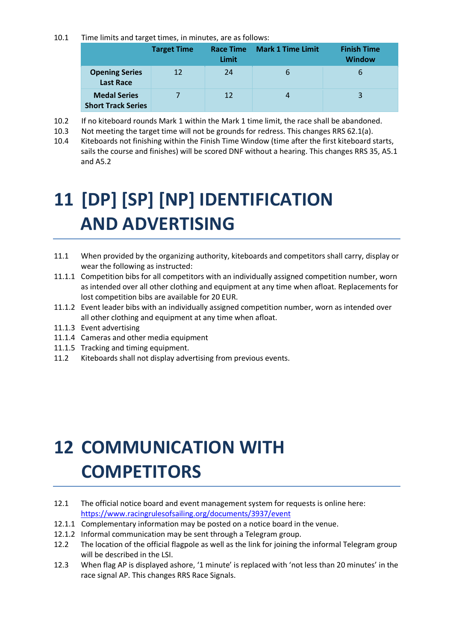10.1 Time limits and target times, in minutes, are as follows:

|                                                  | <b>Target Time</b> | <b>Race Time</b><br>Limit | <b>Mark 1 Time Limit</b> | <b>Finish Time</b><br><b>Window</b> |
|--------------------------------------------------|--------------------|---------------------------|--------------------------|-------------------------------------|
| <b>Opening Series</b><br><b>Last Race</b>        | 12                 | 24                        | $\mathbf b$              | 6                                   |
| <b>Medal Series</b><br><b>Short Track Series</b> |                    | 12                        | 4                        | 3                                   |

- 10.2 If no kiteboard rounds Mark 1 within the Mark 1 time limit, the race shall be abandoned.
- 10.3 Not meeting the target time will not be grounds for redress. This changes RRS 62.1(a).
- 10.4 Kiteboards not finishing within the Finish Time Window (time after the first kiteboard starts, sails the course and finishes) will be scored DNF without a hearing. This changes RRS 35, A5.1 and A5.2

## **11 [DP] [SP] [NP] IDENTIFICATION AND ADVERTISING**

- 11.1 When provided by the organizing authority, kiteboards and competitors shall carry, display or wear the following as instructed:
- 11.1.1 Competition bibs for all competitors with an individually assigned competition number, worn as intended over all other clothing and equipment at any time when afloat. Replacements for lost competition bibs are available for 20 EUR.
- 11.1.2 Event leader bibs with an individually assigned competition number, worn as intended over all other clothing and equipment at any time when afloat.
- 11.1.3 Event advertising
- 11.1.4 Cameras and other media equipment
- 11.1.5 Tracking and timing equipment.
- 11.2 Kiteboards shall not display advertising from previous events.

## **12 COMMUNICATION WITH COMPETITORS**

- 12.1 The official notice board and event management system for requests is online here: https://www.racingrulesofsailing.org/documents/3937/event
- 12.1.1 Complementary information may be posted on a notice board in the venue.
- 12.1.2 Informal communication may be sent through a Telegram group.
- 12.2 The location of the official flagpole as well as the link for joining the informal Telegram group will be described in the LSI.
- 12.3 When flag AP is displayed ashore, '1 minute' is replaced with 'not less than 20 minutes' in the race signal AP. This changes RRS Race Signals.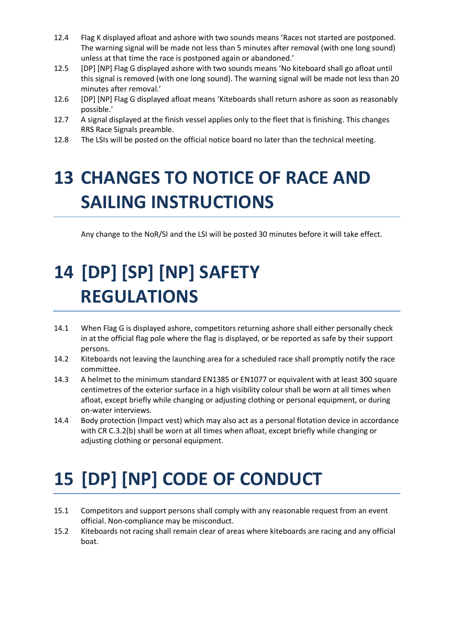- 12.4 Flag K displayed afloat and ashore with two sounds means 'Races not started are postponed. The warning signal will be made not less than 5 minutes after removal (with one long sound) unless at that time the race is postponed again or abandoned.'
- 12.5 [DP] [NP] Flag G displayed ashore with two sounds means 'No kiteboard shall go afloat until this signal is removed (with one long sound). The warning signal will be made not less than 20 minutes after removal.'
- 12.6 [DP] [NP] Flag G displayed afloat means 'Kiteboards shall return ashore as soon as reasonably possible.'
- 12.7 A signal displayed at the finish vessel applies only to the fleet that is finishing. This changes RRS Race Signals preamble.
- 12.8 The LSIs will be posted on the official notice board no later than the technical meeting.

## **13 CHANGES TO NOTICE OF RACE AND SAILING INSTRUCTIONS**

Any change to the NoR/SI and the LSI will be posted 30 minutes before it will take effect.

## **14 [DP] [SP] [NP] SAFETY REGULATIONS**

- 14.1 When Flag G is displayed ashore, competitors returning ashore shall either personally check in at the official flag pole where the flag is displayed, or be reported as safe by their support persons.
- 14.2 Kiteboards not leaving the launching area for a scheduled race shall promptly notify the race committee.
- 14.3 A helmet to the minimum standard EN1385 or EN1077 or equivalent with at least 300 square centimetres of the exterior surface in a high visibility colour shall be worn at all times when afloat, except briefly while changing or adjusting clothing or personal equipment, or during on-water interviews.
- 14.4 Body protection (Impact vest) which may also act as a personal flotation device in accordance with CR C.3.2(b) shall be worn at all times when afloat, except briefly while changing or adjusting clothing or personal equipment.

# **15 [DP] [NP] CODE OF CONDUCT**

- 15.1 Competitors and support persons shall comply with any reasonable request from an event official. Non-compliance may be misconduct.
- 15.2 Kiteboards not racing shall remain clear of areas where kiteboards are racing and any official boat.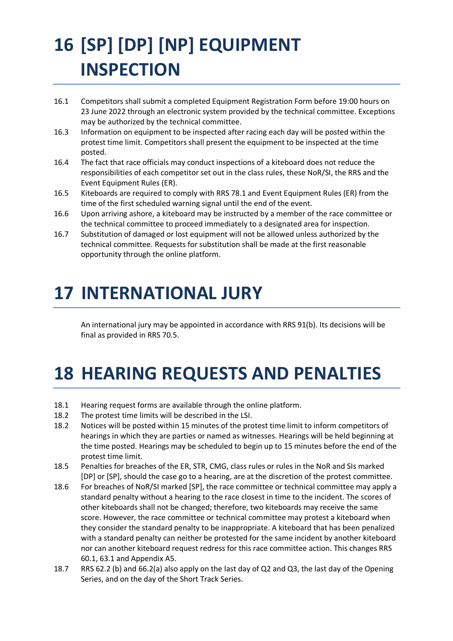# **16 [SP] [DP] [NP] EQUIPMENT INSPECTION**

- 16.1 Competitors shall submit a completed Equipment Registration Form before 19:00 hours on 23 June 2022 through an electronic system provided by the technical committee. Exceptions may be authorized by the technical committee.
- 16.3 Information on equipment to be inspected after racing each day will be posted within the protest time limit. Competitors shall present the equipment to be inspected at the time posted.
- 16.4 The fact that race officials may conduct inspections of a kiteboard does not reduce the responsibilities of each competitor set out in the class rules, these NoR/SI, the RRS and the Event Equipment Rules (ER).
- 16.5 Kiteboards are required to comply with RRS 78.1 and Event Equipment Rules (ER) from the time of the first scheduled warning signal until the end of the event.
- 16.6 Upon arriving ashore, a kiteboard may be instructed by a member of the race committee or the technical committee to proceed immediately to a designated area for inspection.
- 16.7 Substitution of damaged or lost equipment will not be allowed unless authorized by the technical committee. Requests for substitution shall be made at the first reasonable opportunity through the online platform.

### **17 INTERNATIONAL JURY**

An international jury may be appointed in accordance with RRS 91(b). Its decisions will be final as provided in RRS 70.5.

## **18 HEARING REQUESTS AND PENALTIES**

- 18.1 Hearing request forms are available through the online platform.
- 18.2 The protest time limits will be described in the LSI.
- 18.2 Notices will be posted within 15 minutes of the protest time limit to inform competitors of hearings in which they are parties or named as witnesses. Hearings will be held beginning at the time posted. Hearings may be scheduled to begin up to 15 minutes before the end of the protest time limit.
- 18.5 Penalties for breaches of the ER, STR, CMG, class rules or rules in the NoR and SIs marked [DP] or [SP], should the case go to a hearing, are at the discretion of the protest committee.
- 18.6 For breaches of NoR/SI marked [SP], the race committee or technical committee may apply a standard penalty without a hearing to the race closest in time to the incident. The scores of other kiteboards shall not be changed; therefore, two kiteboards may receive the same score. However, the race committee or technical committee may protest a kiteboard when they consider the standard penalty to be inappropriate. A kiteboard that has been penalized with a standard penalty can neither be protested for the same incident by another kiteboard nor can another kiteboard request redress for this race committee action. This changes RRS 60.1, 63.1 and Appendix A5.
- 18.7 RRS 62.2 (b) and 66.2(a) also apply on the last day of Q2 and Q3, the last day of the Opening Series, and on the day of the Short Track Series.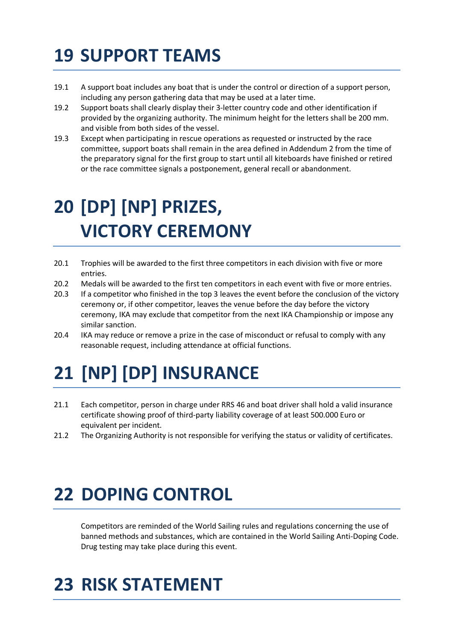## **19 SUPPORT TEAMS**

- 19.1 A support boat includes any boat that is under the control or direction of a support person, including any person gathering data that may be used at a later time.
- 19.2 Support boats shall clearly display their 3-letter country code and other identification if provided by the organizing authority. The minimum height for the letters shall be 200 mm. and visible from both sides of the vessel.
- 19.3 Except when participating in rescue operations as requested or instructed by the race committee, support boats shall remain in the area defined in Addendum 2 from the time of the preparatory signal for the first group to start until all kiteboards have finished or retired or the race committee signals a postponement, general recall or abandonment.

## **20 [DP] [NP] PRIZES, VICTORY CEREMONY**

- 20.1 Trophies will be awarded to the first three competitors in each division with five or more entries.
- 20.2 Medals will be awarded to the first ten competitors in each event with five or more entries.
- 20.3 If a competitor who finished in the top 3 leaves the event before the conclusion of the victory ceremony or, if other competitor, leaves the venue before the day before the victory ceremony, IKA may exclude that competitor from the next IKA Championship or impose any similar sanction.
- 20.4 IKA may reduce or remove a prize in the case of misconduct or refusal to comply with any reasonable request, including attendance at official functions.

# **21 [NP] [DP] INSURANCE**

- 21.1 Each competitor, person in charge under RRS 46 and boat driver shall hold a valid insurance certificate showing proof of third-party liability coverage of at least 500.000 Euro or equivalent per incident.
- 21.2 The Organizing Authority is not responsible for verifying the status or validity of certificates.

### **22 DOPING CONTROL**

 Competitors are reminded of the World Sailing rules and regulations concerning the use of banned methods and substances, which are contained in the World Sailing Anti-Doping Code. Drug testing may take place during this event.

### **23 RISK STATEMENT**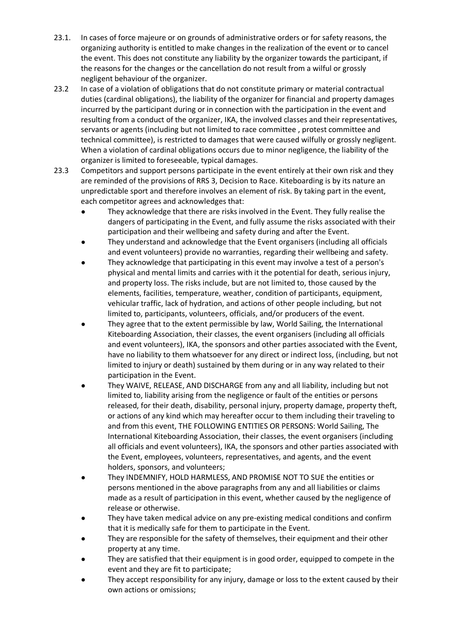- 23.1. In cases of force majeure or on grounds of administrative orders or for safety reasons, the organizing authority is entitled to make changes in the realization of the event or to cancel the event. This does not constitute any liability by the organizer towards the participant, if the reasons for the changes or the cancellation do not result from a wilful or grossly negligent behaviour of the organizer.
- 23.2 In case of a violation of obligations that do not constitute primary or material contractual duties (cardinal obligations), the liability of the organizer for financial and property damages incurred by the participant during or in connection with the participation in the event and resulting from a conduct of the organizer, IKA, the involved classes and their representatives, servants or agents (including but not limited to race committee , protest committee and technical committee), is restricted to damages that were caused wilfully or grossly negligent. When a violation of cardinal obligations occurs due to minor negligence, the liability of the organizer is limited to foreseeable, typical damages.
- 23.3 Competitors and support persons participate in the event entirely at their own risk and they are reminded of the provisions of RRS 3, Decision to Race. Kiteboarding is by its nature an unpredictable sport and therefore involves an element of risk. By taking part in the event, each competitor agrees and acknowledges that:
	- They acknowledge that there are risks involved in the Event. They fully realise the dangers of participating in the Event, and fully assume the risks associated with their participation and their wellbeing and safety during and after the Event.
	- They understand and acknowledge that the Event organisers (including all officials and event volunteers) provide no warranties, regarding their wellbeing and safety.
	- They acknowledge that participating in this event may involve a test of a person's physical and mental limits and carries with it the potential for death, serious injury, and property loss. The risks include, but are not limited to, those caused by the elements, facilities, temperature, weather, condition of participants, equipment, vehicular traffic, lack of hydration, and actions of other people including, but not limited to, participants, volunteers, officials, and/or producers of the event.
	- They agree that to the extent permissible by law, World Sailing, the International Kiteboarding Association, their classes, the event organisers (including all officials and event volunteers), IKA, the sponsors and other parties associated with the Event, have no liability to them whatsoever for any direct or indirect loss, (including, but not limited to injury or death) sustained by them during or in any way related to their participation in the Event.
	- They WAIVE, RELEASE, AND DISCHARGE from any and all liability, including but not limited to, liability arising from the negligence or fault of the entities or persons released, for their death, disability, personal injury, property damage, property theft, or actions of any kind which may hereafter occur to them including their traveling to and from this event, THE FOLLOWING ENTITIES OR PERSONS: World Sailing, The International Kiteboarding Association, their classes, the event organisers (including all officials and event volunteers), IKA, the sponsors and other parties associated with the Event, employees, volunteers, representatives, and agents, and the event holders, sponsors, and volunteers;
	- They INDEMNIFY, HOLD HARMLESS, AND PROMISE NOT TO SUE the entities or persons mentioned in the above paragraphs from any and all liabilities or claims made as a result of participation in this event, whether caused by the negligence of release or otherwise.
	- They have taken medical advice on any pre-existing medical conditions and confirm that it is medically safe for them to participate in the Event.
	- They are responsible for the safety of themselves, their equipment and their other property at any time.
	- They are satisfied that their equipment is in good order, equipped to compete in the event and they are fit to participate;
	- They accept responsibility for any injury, damage or loss to the extent caused by their own actions or omissions;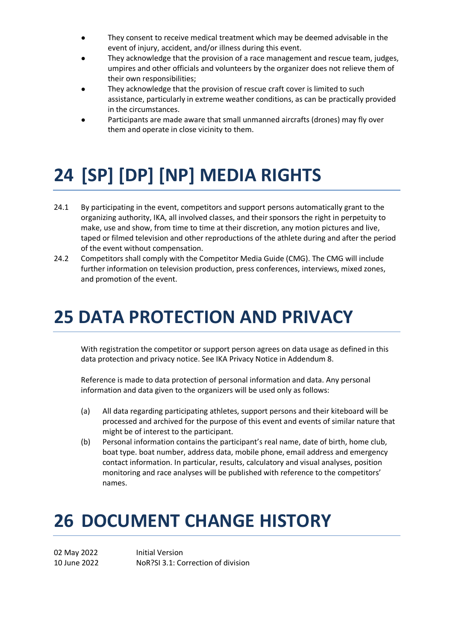- They consent to receive medical treatment which may be deemed advisable in the event of injury, accident, and/or illness during this event.
- They acknowledge that the provision of a race management and rescue team, judges, umpires and other officials and volunteers by the organizer does not relieve them of their own responsibilities;
- They acknowledge that the provision of rescue craft cover is limited to such assistance, particularly in extreme weather conditions, as can be practically provided in the circumstances.
- Participants are made aware that small unmanned aircrafts (drones) may fly over them and operate in close vicinity to them.

## **24 [SP] [DP] [NP] MEDIA RIGHTS**

- 24.1 By participating in the event, competitors and support persons automatically grant to the organizing authority, IKA, all involved classes, and their sponsors the right in perpetuity to make, use and show, from time to time at their discretion, any motion pictures and live, taped or filmed television and other reproductions of the athlete during and after the period of the event without compensation.
- 24.2 Competitors shall comply with the Competitor Media Guide (CMG). The CMG will include further information on television production, press conferences, interviews, mixed zones, and promotion of the event.

### **25 DATA PROTECTION AND PRIVACY**

With registration the competitor or support person agrees on data usage as defined in this data protection and privacy notice. See IKA Privacy Notice in Addendum 8.

Reference is made to data protection of personal information and data. Any personal information and data given to the organizers will be used only as follows:

- (a) All data regarding participating athletes, support persons and their kiteboard will be processed and archived for the purpose of this event and events of similar nature that might be of interest to the participant.
- (b) Personal information contains the participant's real name, date of birth, home club, boat type. boat number, address data, mobile phone, email address and emergency contact information. In particular, results, calculatory and visual analyses, position monitoring and race analyses will be published with reference to the competitors' names.

### **26 DOCUMENT CHANGE HISTORY**

02 May 2022 Initial Version 10 June 2022 NoR?SI 3.1: Correction of division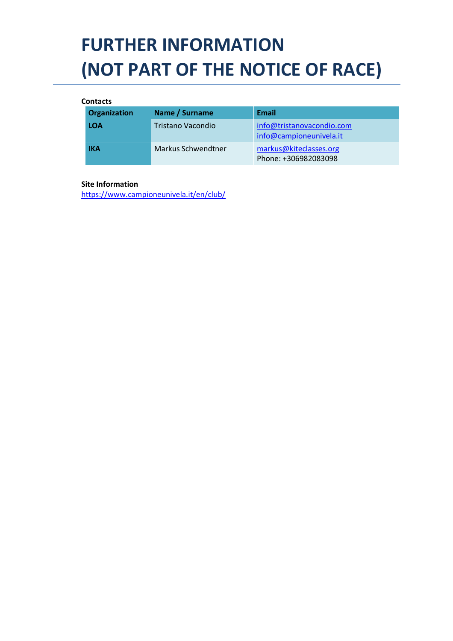## **FURTHER INFORMATION (NOT PART OF THE NOTICE OF RACE)**

#### **Contacts**

| <b>Organization</b> | Name / Surname     | <b>Email</b>                                         |
|---------------------|--------------------|------------------------------------------------------|
| <b>LOA</b>          | Tristano Vacondio  | info@tristanovacondio.com<br>info@campioneunivela.it |
| <b>IKA</b>          | Markus Schwendtner | markus@kiteclasses.org<br>Phone: +306982083098       |

#### **Site Information**

https://www.campioneunivela.it/en/club/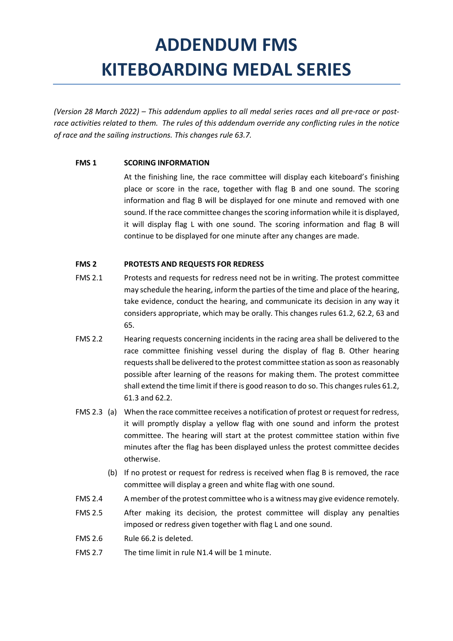### **ADDENDUM FMS KITEBOARDING MEDAL SERIES**

*(Version 28 March 2022) – This addendum applies to all medal series races and all pre-race or postrace activities related to them. The rules of this addendum override any conflicting rules in the notice of race and the sailing instructions. This changes rule 63.7.* 

#### **FMS 1 SCORING INFORMATION**

 At the finishing line, the race committee will display each kiteboard's finishing place or score in the race, together with flag B and one sound. The scoring information and flag B will be displayed for one minute and removed with one sound. If the race committee changes the scoring information while it is displayed, it will display flag L with one sound. The scoring information and flag B will continue to be displayed for one minute after any changes are made.

#### **FMS 2 PROTESTS AND REQUESTS FOR REDRESS**

- FMS 2.1 Protests and requests for redress need not be in writing. The protest committee may schedule the hearing, inform the parties of the time and place of the hearing, take evidence, conduct the hearing, and communicate its decision in any way it considers appropriate, which may be orally. This changes rules 61.2, 62.2, 63 and 65.
- FMS 2.2 Hearing requests concerning incidents in the racing area shall be delivered to the race committee finishing vessel during the display of flag B. Other hearing requests shall be delivered to the protest committee station as soon as reasonably possible after learning of the reasons for making them. The protest committee shall extend the time limit if there is good reason to do so. This changes rules 61.2, 61.3 and 62.2.
- FMS 2.3 (a) When the race committee receives a notification of protest or request for redress, it will promptly display a yellow flag with one sound and inform the protest committee. The hearing will start at the protest committee station within five minutes after the flag has been displayed unless the protest committee decides otherwise.
	- (b) If no protest or request for redress is received when flag B is removed, the race committee will display a green and white flag with one sound.
- FMS 2.4 A member of the protest committee who is a witness may give evidence remotely.
- FMS 2.5 After making its decision, the protest committee will display any penalties imposed or redress given together with flag L and one sound.
- FMS 2.6 Rule 66.2 is deleted.
- FMS 2.7 The time limit in rule N1.4 will be 1 minute.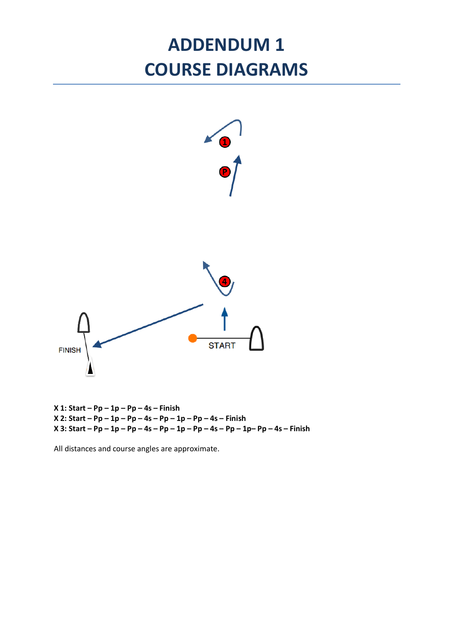### **ADDENDUM 1 COURSE DIAGRAMS**



**X 2: Start – Pp – 1p – Pp – 4s – Pp – 1p – Pp – 4s – Finish X 3: Start – Pp – 1p – Pp – 4s – Pp – 1p – Pp – 4s – Pp – 1p– Pp – 4s – Finish**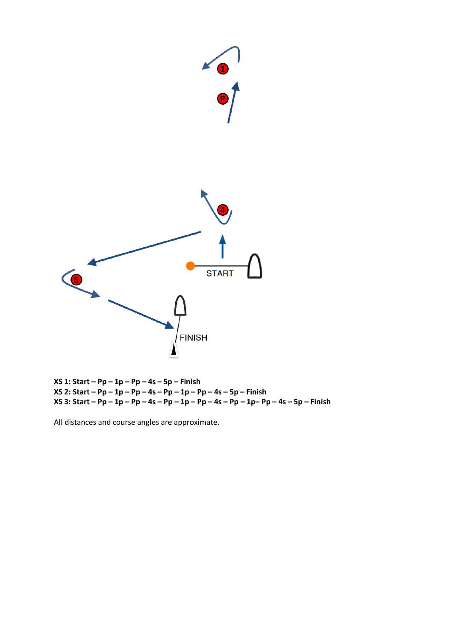

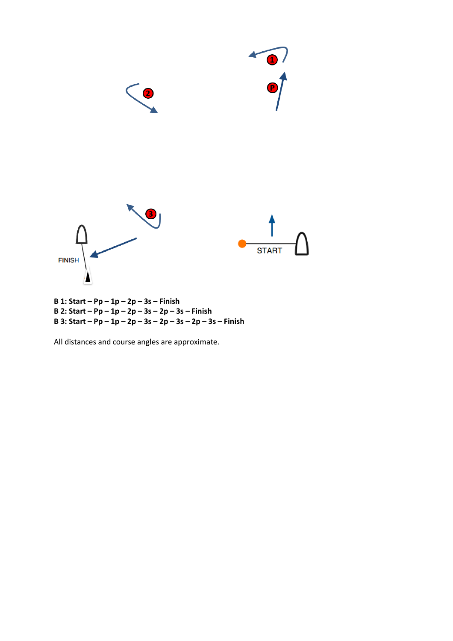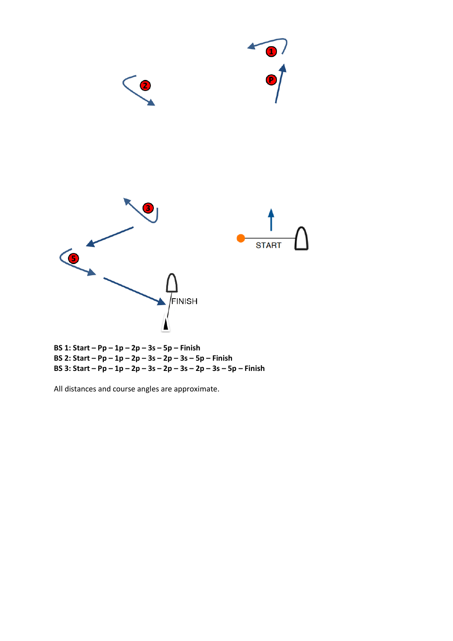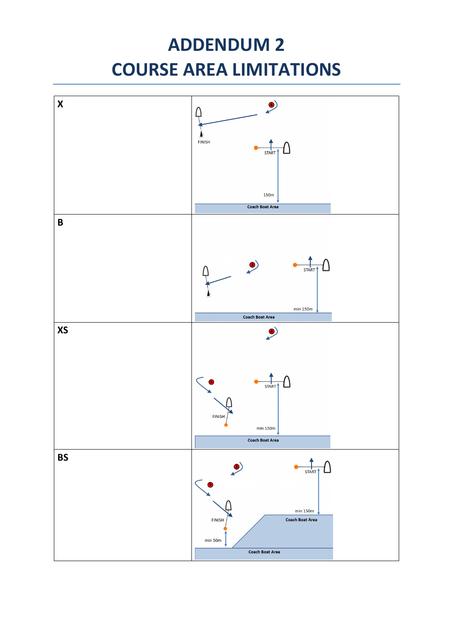### **ADDENDUM 2 COURSE AREA LIMITATIONS**

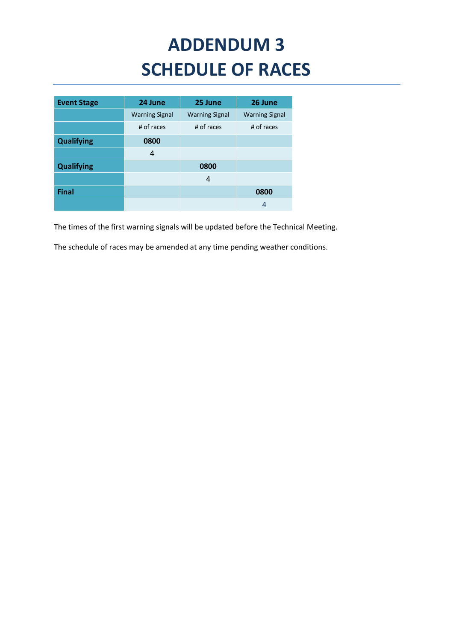## **ADDENDUM 3 SCHEDULE OF RACES**

| <b>Event Stage</b> | 24 June               | 25 June               | 26 June               |
|--------------------|-----------------------|-----------------------|-----------------------|
|                    | <b>Warning Signal</b> | <b>Warning Signal</b> | <b>Warning Signal</b> |
|                    | # of races            | # of races            | # of races            |
| <b>Qualifying</b>  | 0800                  |                       |                       |
|                    | 4                     |                       |                       |
| <b>Qualifying</b>  |                       | 0800                  |                       |
|                    |                       | 4                     |                       |
| <b>Final</b>       |                       |                       | 0800                  |
|                    |                       |                       | 4                     |

The times of the first warning signals will be updated before the Technical Meeting.

The schedule of races may be amended at any time pending weather conditions.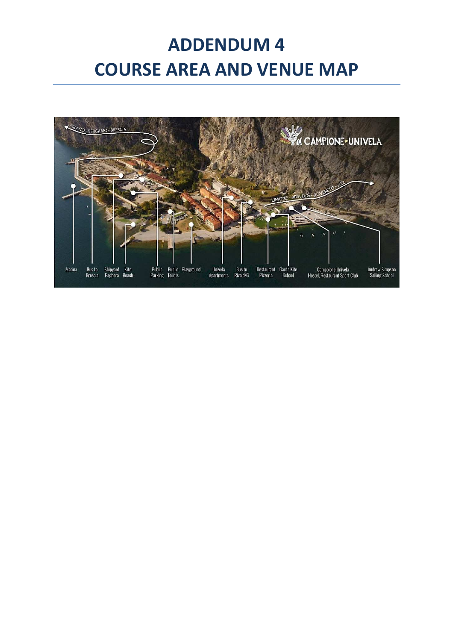### **ADDENDUM 4 COURSE AREA AND VENUE MAP**

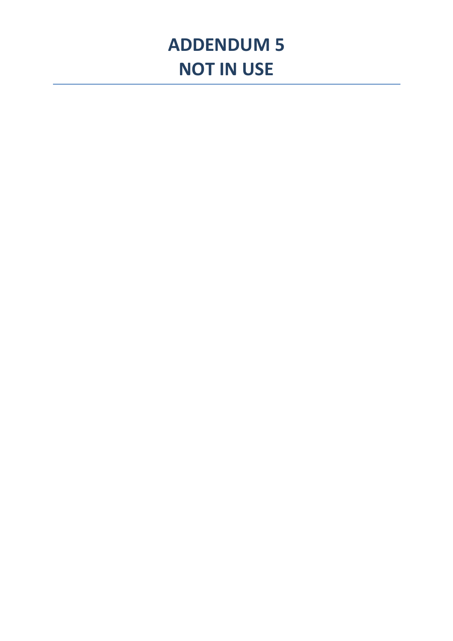### **ADDENDUM 5 NOT IN USE**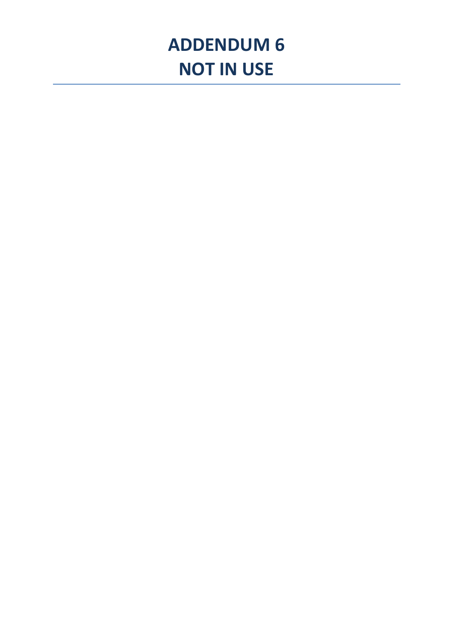### **ADDENDUM 6 NOT IN USE**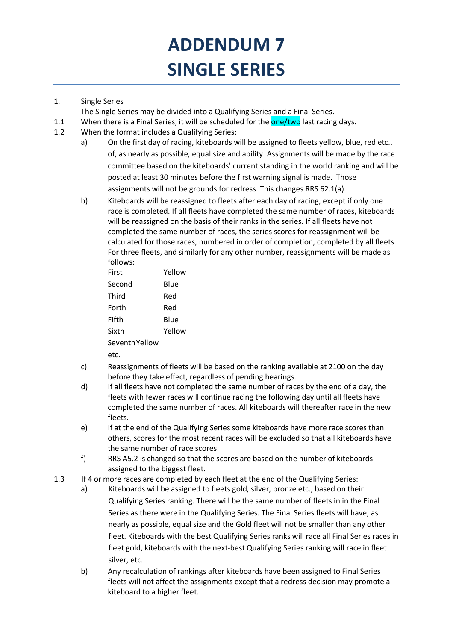## **ADDENDUM 7 SINGLE SERIES**

#### 1. Single Series

The Single Series may be divided into a Qualifying Series and a Final Series.

- 1.1 When there is a Final Series, it will be scheduled for the **one/two** last racing days.
- 1.2 When the format includes a Qualifying Series:
	- a) On the first day of racing, kiteboards will be assigned to fleets yellow, blue, red etc., of, as nearly as possible, equal size and ability. Assignments will be made by the race committee based on the kiteboards' current standing in the world ranking and will be posted at least 30 minutes before the first warning signal is made. Those assignments will not be grounds for redress. This changes RRS 62.1(a).
	- b) Kiteboards will be reassigned to fleets after each day of racing, except if only one race is completed. If all fleets have completed the same number of races, kiteboards will be reassigned on the basis of their ranks in the series. If all fleets have not completed the same number of races, the series scores for reassignment will be calculated for those races, numbered in order of completion, completed by all fleets. For three fleets, and similarly for any other number, reassignments will be made as follows:

| First          | Yellow |
|----------------|--------|
| Second         | Blue   |
| Third          | Red    |
| Forth          | Red    |
| Fifth          | Blue   |
| Sixth          | Yellow |
| Seventh Yellow |        |

etc.

- c) Reassignments of fleets will be based on the ranking available at 2100 on the day before they take effect, regardless of pending hearings.
- d) If all fleets have not completed the same number of races by the end of a day, the fleets with fewer races will continue racing the following day until all fleets have completed the same number of races. All kiteboards will thereafter race in the new fleets.
- e) If at the end of the Qualifying Series some kiteboards have more race scores than others, scores for the most recent races will be excluded so that all kiteboards have the same number of race scores.
- f) RRS A5.2 is changed so that the scores are based on the number of kiteboards assigned to the biggest fleet.
- 1.3 If 4 or more races are completed by each fleet at the end of the Qualifying Series:
	- a) Kiteboards will be assigned to fleets gold, silver, bronze etc., based on their Qualifying Series ranking. There will be the same number of fleets in in the Final Series as there were in the Qualifying Series. The Final Series fleets will have, as nearly as possible, equal size and the Gold fleet will not be smaller than any other fleet. Kiteboards with the best Qualifying Series ranks will race all Final Series races in fleet gold, kiteboards with the next-best Qualifying Series ranking will race in fleet silver, etc.
	- b) Any recalculation of rankings after kiteboards have been assigned to Final Series fleets will not affect the assignments except that a redress decision may promote a kiteboard to a higher fleet.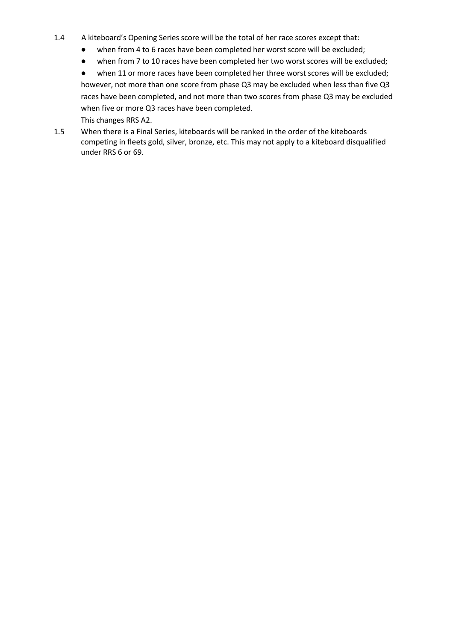- 1.4 A kiteboard's Opening Series score will be the total of her race scores except that:
	- when from 4 to 6 races have been completed her worst score will be excluded;
	- when from 7 to 10 races have been completed her two worst scores will be excluded;

● when 11 or more races have been completed her three worst scores will be excluded; however, not more than one score from phase Q3 may be excluded when less than five Q3 races have been completed, and not more than two scores from phase Q3 may be excluded when five or more Q3 races have been completed.

This changes RRS A2.

1.5 When there is a Final Series, kiteboards will be ranked in the order of the kiteboards competing in fleets gold, silver, bronze, etc. This may not apply to a kiteboard disqualified under RRS 6 or 69.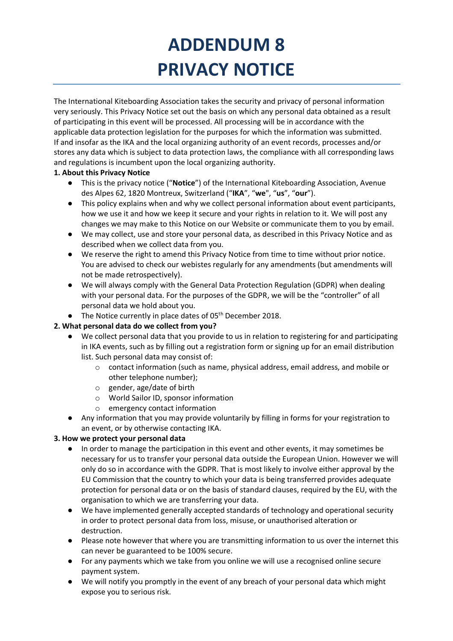## **ADDENDUM 8 PRIVACY NOTICE**

The International Kiteboarding Association takes the security and privacy of personal information very seriously. This Privacy Notice set out the basis on which any personal data obtained as a result of participating in this event will be processed. All processing will be in accordance with the applicable data protection legislation for the purposes for which the information was submitted. If and insofar as the IKA and the local organizing authority of an event records, processes and/or stores any data which is subject to data protection laws, the compliance with all corresponding laws and regulations is incumbent upon the local organizing authority.

#### **1. About this Privacy Notice**

- This is the privacy notice ("**Notice**") of the International Kiteboarding Association, Avenue des Alpes 62, 1820 Montreux, Switzerland ("**IKA**", "**we**", "**us**", "**our**").
- This policy explains when and why we collect personal information about event participants, how we use it and how we keep it secure and your rights in relation to it. We will post any changes we may make to this Notice on our Website or communicate them to you by email.
- We may collect, use and store your personal data, as described in this Privacy Notice and as described when we collect data from you.
- We reserve the right to amend this Privacy Notice from time to time without prior notice. You are advised to check our webistes regularly for any amendments (but amendments will not be made retrospectively).
- We will always comply with the General Data Protection Regulation (GDPR) when dealing with your personal data. For the purposes of the GDPR, we will be the "controller" of all personal data we hold about you.
- The Notice currently in place dates of 05<sup>th</sup> December 2018.

#### **2. What personal data do we collect from you?**

- We collect personal data that you provide to us in relation to registering for and participating in IKA events, such as by filling out a registration form or signing up for an email distribution list. Such personal data may consist of:
	- o contact information (such as name, physical address, email address, and mobile or other telephone number);
	- o gender, age/date of birth
	- o World Sailor ID, sponsor information
	- o emergency contact information
- Any information that you may provide voluntarily by filling in forms for your registration to an event, or by otherwise contacting IKA.

#### **3. How we protect your personal data**

- **●** In order to manage the participation in this event and other events, it may sometimes be necessary for us to transfer your personal data outside the European Union. However we will only do so in accordance with the GDPR. That is most likely to involve either approval by the EU Commission that the country to which your data is being transferred provides adequate protection for personal data or on the basis of standard clauses, required by the EU, with the organisation to which we are transferring your data.
- **●** We have implemented generally accepted standards of technology and operational security in order to protect personal data from loss, misuse, or unauthorised alteration or destruction.
- **●** Please note however that where you are transmitting information to us over the internet this can never be guaranteed to be 100% secure.
- **●** For any payments which we take from you online we will use a recognised online secure payment system.
- **●** We will notify you promptly in the event of any breach of your personal data which might expose you to serious risk.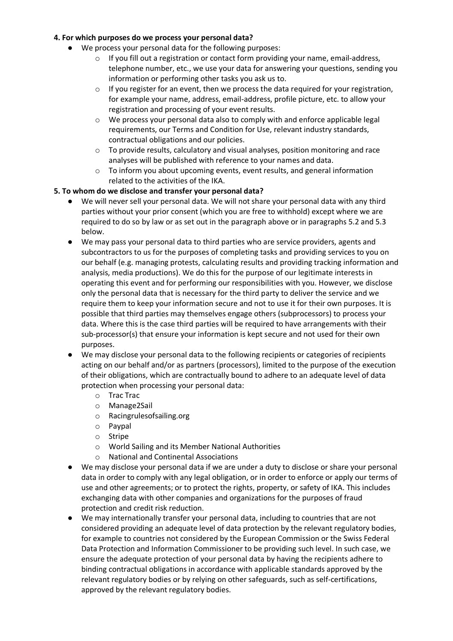#### **4. For which purposes do we process your personal data?**

- We process your personal data for the following purposes:
	- $\circ$  If you fill out a registration or contact form providing your name, email-address, telephone number, etc., we use your data for answering your questions, sending you information or performing other tasks you ask us to.
	- $\circ$  If you register for an event, then we process the data required for your registration, for example your name, address, email-address, profile picture, etc. to allow your registration and processing of your event results.
	- $\circ$  We process your personal data also to comply with and enforce applicable legal requirements, our Terms and Condition for Use, relevant industry standards, contractual obligations and our policies.
	- $\circ$  To provide results, calculatory and visual analyses, position monitoring and race analyses will be published with reference to your names and data.
	- o To inform you about upcoming events, event results, and general information related to the activities of the IKA.

#### **5. To whom do we disclose and transfer your personal data?**

- We will never sell your personal data. We will not share your personal data with any third parties without your prior consent (which you are free to withhold) except where we are required to do so by law or as set out in the paragraph above or in paragraphs 5.2 and 5.3 below.
- We may pass your personal data to third parties who are service providers, agents and subcontractors to us for the purposes of completing tasks and providing services to you on our behalf (e.g. managing protests, calculating results and providing tracking information and analysis, media productions). We do this for the purpose of our legitimate interests in operating this event and for performing our responsibilities with you. However, we disclose only the personal data that is necessary for the third party to deliver the service and we require them to keep your information secure and not to use it for their own purposes. It is possible that third parties may themselves engage others (subprocessors) to process your data. Where this is the case third parties will be required to have arrangements with their sub-processor(s) that ensure your information is kept secure and not used for their own purposes.
- We may disclose your personal data to the following recipients or categories of recipients acting on our behalf and/or as partners (processors), limited to the purpose of the execution of their obligations, which are contractually bound to adhere to an adequate level of data protection when processing your personal data:
	- o Trac Trac
	- o Manage2Sail
	- o Racingrulesofsailing.org
	- o Paypal
	- o Stripe
	- o World Sailing and its Member National Authorities
	- o National and Continental Associations
- We may disclose your personal data if we are under a duty to disclose or share your personal data in order to comply with any legal obligation, or in order to enforce or apply our terms of use and other agreements; or to protect the rights, property, or safety of IKA. This includes exchanging data with other companies and organizations for the purposes of fraud protection and credit risk reduction.
- We may internationally transfer your personal data, including to countries that are not considered providing an adequate level of data protection by the relevant regulatory bodies, for example to countries not considered by the European Commission or the Swiss Federal Data Protection and Information Commissioner to be providing such level. In such case, we ensure the adequate protection of your personal data by having the recipients adhere to binding contractual obligations in accordance with applicable standards approved by the relevant regulatory bodies or by relying on other safeguards, such as self-certifications, approved by the relevant regulatory bodies.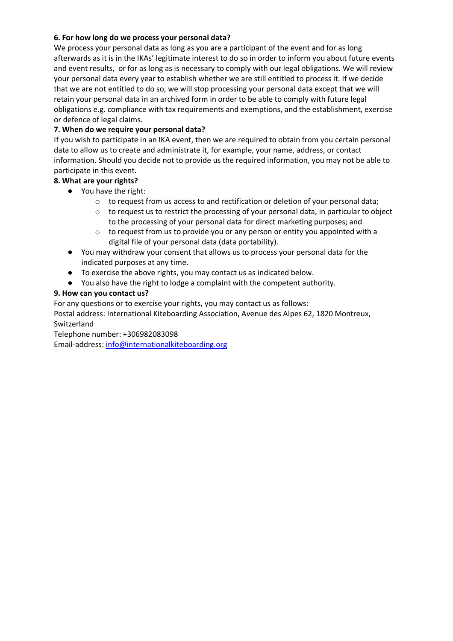#### **6. For how long do we process your personal data?**

We process your personal data as long as you are a participant of the event and for as long afterwards as it is in the IKAs' legitimate interest to do so in order to inform you about future events and event results, or for as long as is necessary to comply with our legal obligations. We will review your personal data every year to establish whether we are still entitled to process it. If we decide that we are not entitled to do so, we will stop processing your personal data except that we will retain your personal data in an archived form in order to be able to comply with future legal obligations e.g. compliance with tax requirements and exemptions, and the establishment, exercise or defence of legal claims.

#### **7. When do we require your personal data?**

If you wish to participate in an IKA event, then we are required to obtain from you certain personal data to allow us to create and administrate it, for example, your name, address, or contact information. Should you decide not to provide us the required information, you may not be able to participate in this event.

#### **8. What are your rights?**

- You have the right:
	- o to request from us access to and rectification or deletion of your personal data;
	- $\circ$  to request us to restrict the processing of your personal data, in particular to object to the processing of your personal data for direct marketing purposes; and
	- $\circ$  to request from us to provide you or any person or entity you appointed with a digital file of your personal data (data portability).
- You may withdraw your consent that allows us to process your personal data for the indicated purposes at any time.
- To exercise the above rights, you may contact us as indicated below.
- You also have the right to lodge a complaint with the competent authority.

#### **9. How can you contact us?**

For any questions or to exercise your rights, you may contact us as follows:

Postal address: International Kiteboarding Association, Avenue des Alpes 62, 1820 Montreux, Switzerland

Telephone number: +306982083098

Email-address: info@internationalkiteboarding.org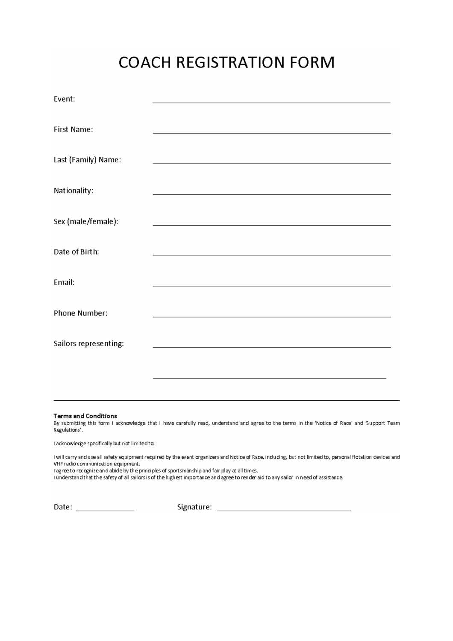### **COACH REGISTRATION FORM**

| Event:                |  |
|-----------------------|--|
| First Name:           |  |
| Last (Family) Name:   |  |
| Nationality:          |  |
| Sex (male/female):    |  |
| Date of Birth:        |  |
| Email:                |  |
| Phone Number:         |  |
| Sailors representing: |  |
|                       |  |

#### **Terms and Conditions**

By submitting this form I acknowledge that I have carefully read, understand and agree to the terms in the 'Notice of Race' and 'Support Team Regulations'.

I acknowledge specifically but not limited to:

I will carry and use all safety equipment required by the event organizers and Notice of Race, including, but not limited to, personal flotation devices and VHF radio communication equipment.

I agree to recognize and abide by the principles of sportsmanship and fair play at all times.

I understand that the safety of all sailors is of the highest importance and agree to render aid to any sailor in need of assistance

Date: \_\_\_\_\_\_\_\_\_\_\_\_\_\_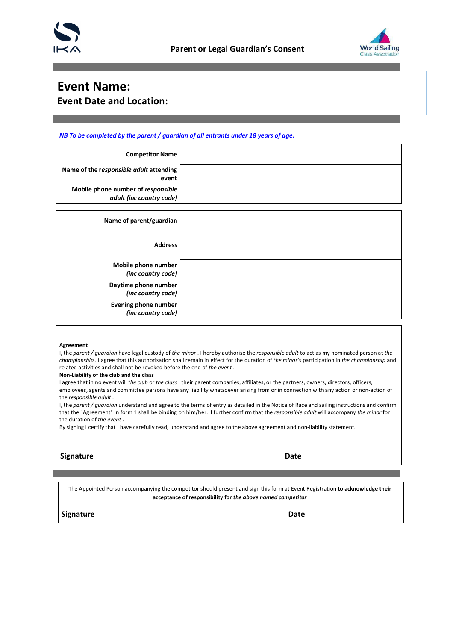



### **Event Name: Event Date and Location:**

#### *NB To be completed by the parent / guardian of all entrants under 18 years of age.*

| <b>Competitor Name</b>                                         |  |
|----------------------------------------------------------------|--|
| Name of the responsible adult attending<br>event               |  |
| Mobile phone number of responsible<br>adult (inc country code) |  |
| Name of parent/guardian                                        |  |
| <b>Address</b>                                                 |  |
| Mobile phone number<br>(inc country code)                      |  |
| Daytime phone number<br>(inc country code)                     |  |
| <b>Evening phone number</b><br>(inc country code)              |  |

#### **Agreement**

I, the *parent / guardian* have legal custody of *the minor* . I hereby authorise the *responsible adult* to act as my nominated person at *the championship* . I agree that this authorisation shall remain in effect for the duration of *the minor's* participation in *the championship* and related activities and shall not be revoked before the end of *the event* .

**Non-Liability of the club and the class** 

I agree that in no event will *the club* or *the class* , their parent companies, affiliates, or the partners, owners, directors, officers, employees, agents and committee persons have any liability whatsoever arising from or in connection with any action or non-action of the *responsible adult* .

I, the *parent / guardian* understand and agree to the terms of entry as detailed in the Notice of Race and sailing instructions and confirm that the "Agreement" in form 1 shall be binding on him/her. I further confirm that the *responsible adult* will accompany *the minor* for the duration of *the event* .

By signing I certify that I have carefully read, understand and agree to the above agreement and non-liability statement.

#### **Signature Date**

The Appointed Person accompanying the competitor should present and sign this form at Event Registration **to acknowledge their acceptance of responsibility for** *the above named competitor*

#### **Signature Date**